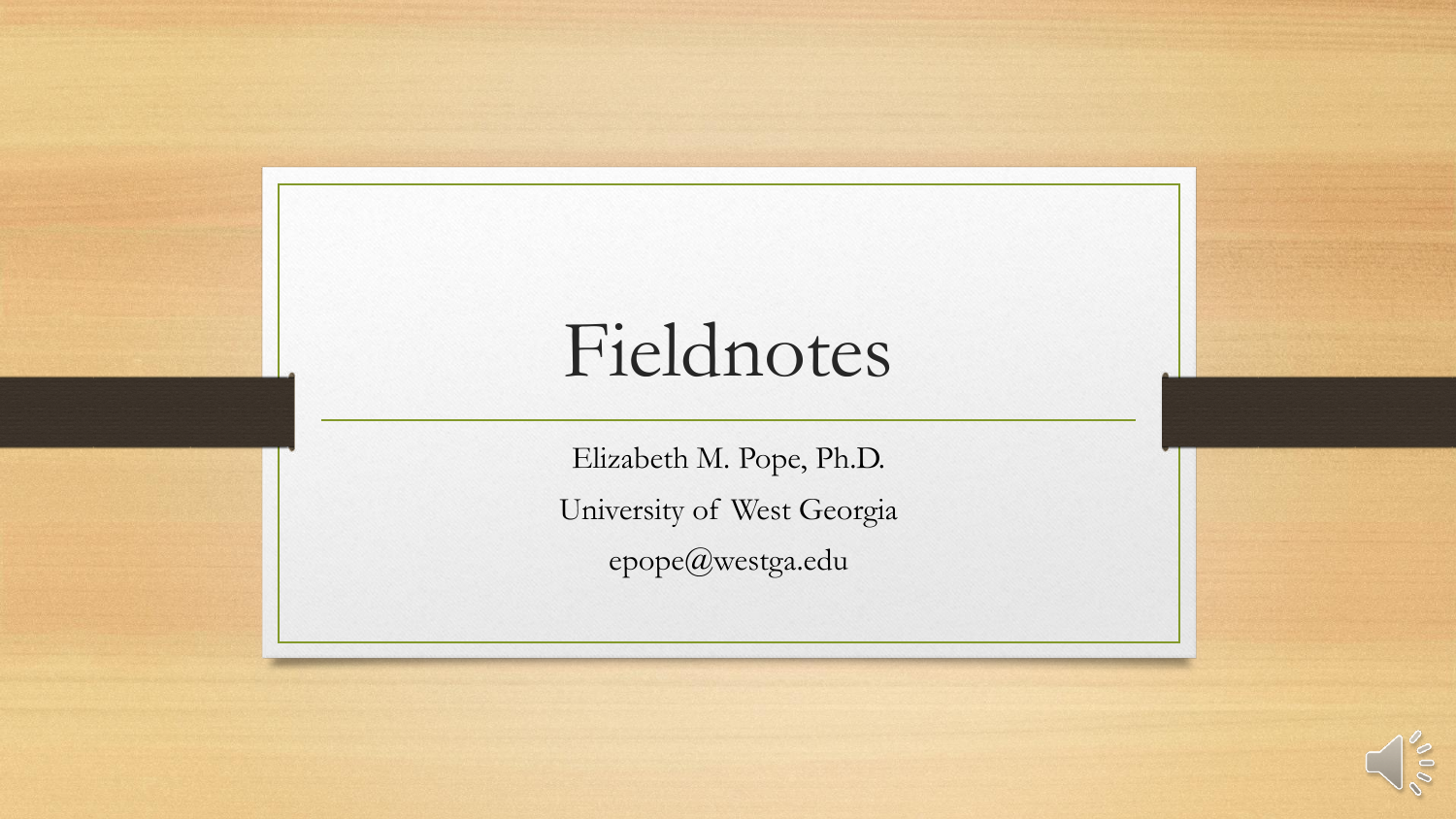# Fieldnotes

Elizabeth M. Pope, Ph.D. University of West Georgia epope@westga.edu

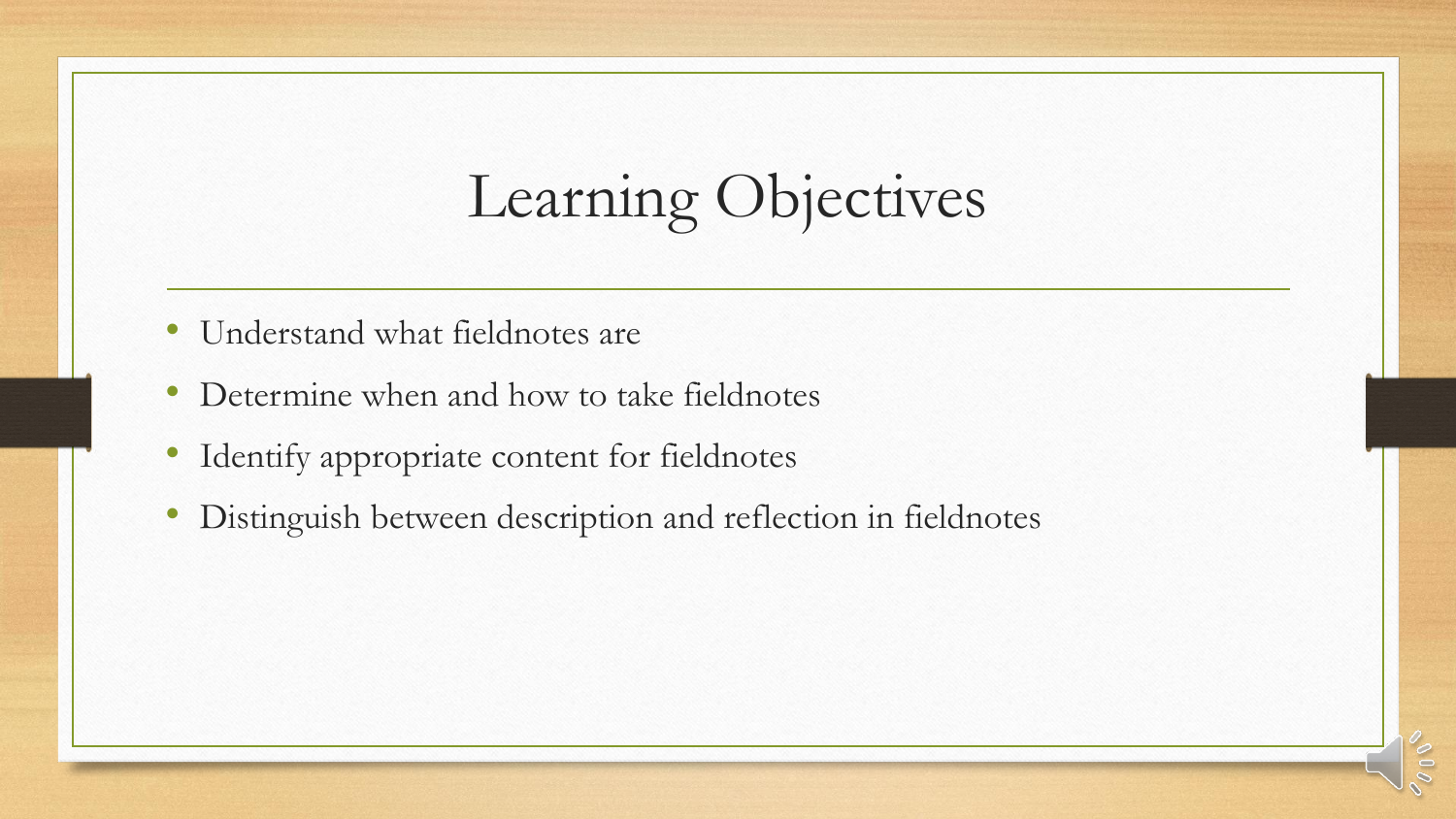## Learning Objectives

- Understand what fieldnotes are
- Determine when and how to take fieldnotes
- Identify appropriate content for fieldnotes
- Distinguish between description and reflection in fieldnotes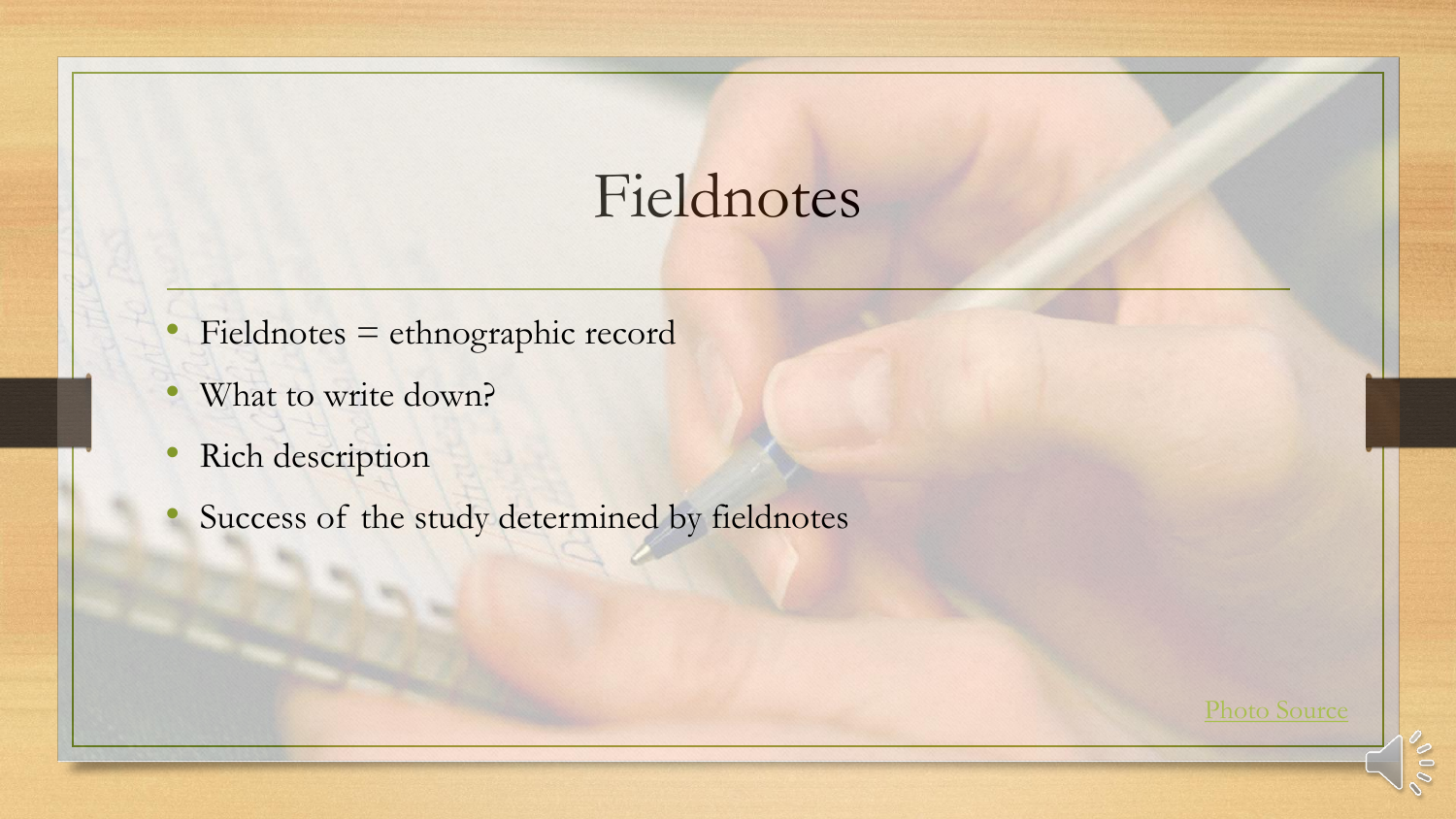#### Fieldnotes

- Fieldnotes = ethnographic record
- What to write down?
- Rich description
- Success of the study determined by fieldnotes

[Photo Source](https://www.flickr.com/photos/acoustic_punk_sound/5067532401/in/photolist-8HNqQi-Tchikm-pCqqPj-U1rrTU-osVKSz-d6wMHC-7o4WRp-SFwrA6-qt4BWV-2an6QGj-8icmno-244rewr-qB1Hek-364nao-ahziwN-9QmGQ9-6if3p3-pbUHte-24sGd8i-pkYqgp-Qd272Z-2dvNWsd-FXjkCM-zbGGZ-4wFjsi-24zV3Qj-ZXRoNn-8ayXAh-7bf8Cj-d6wMVo-4N58eu-aj8kmi-hfTVD2-ZX5ncY-qXu63Q-9vC4ZG-rmrnYy-ebsuz4-TZ1wAv-ZShLPy-2zj8bz-bfqHBX-mESJAg-avF2ez-2GnG45-25E6MXC-dRLzSR-edNS58-Y6GPxN-5GGnyq)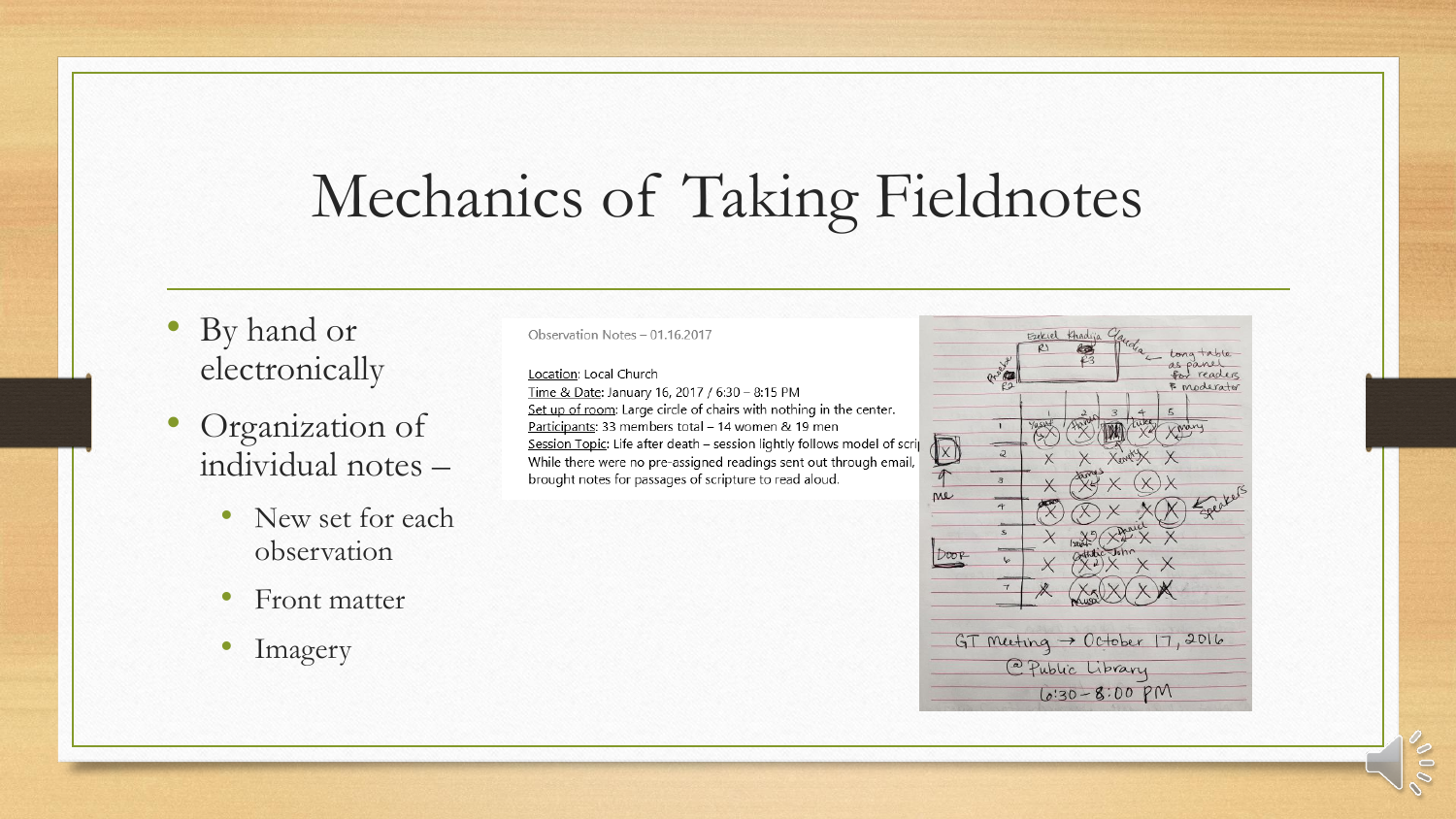#### Mechanics of Taking Fieldnotes

- By hand or electronically
- Organization of individual notes –
	- New set for each observation
	- Front matter
	- Imagery

Observation Notes - 01.16.2017

Location: Local Church

Time & Date: January 16, 2017 / 6:30 - 8:15 PM Set up of room: Large circle of chairs with nothing in the center. Participants: 33 members total - 14 women & 19 men Session Topic: Life after death - session lightly follows model of scrip While there were no pre-assigned readings sent out through email, brought notes for passages of scripture to read aloud.

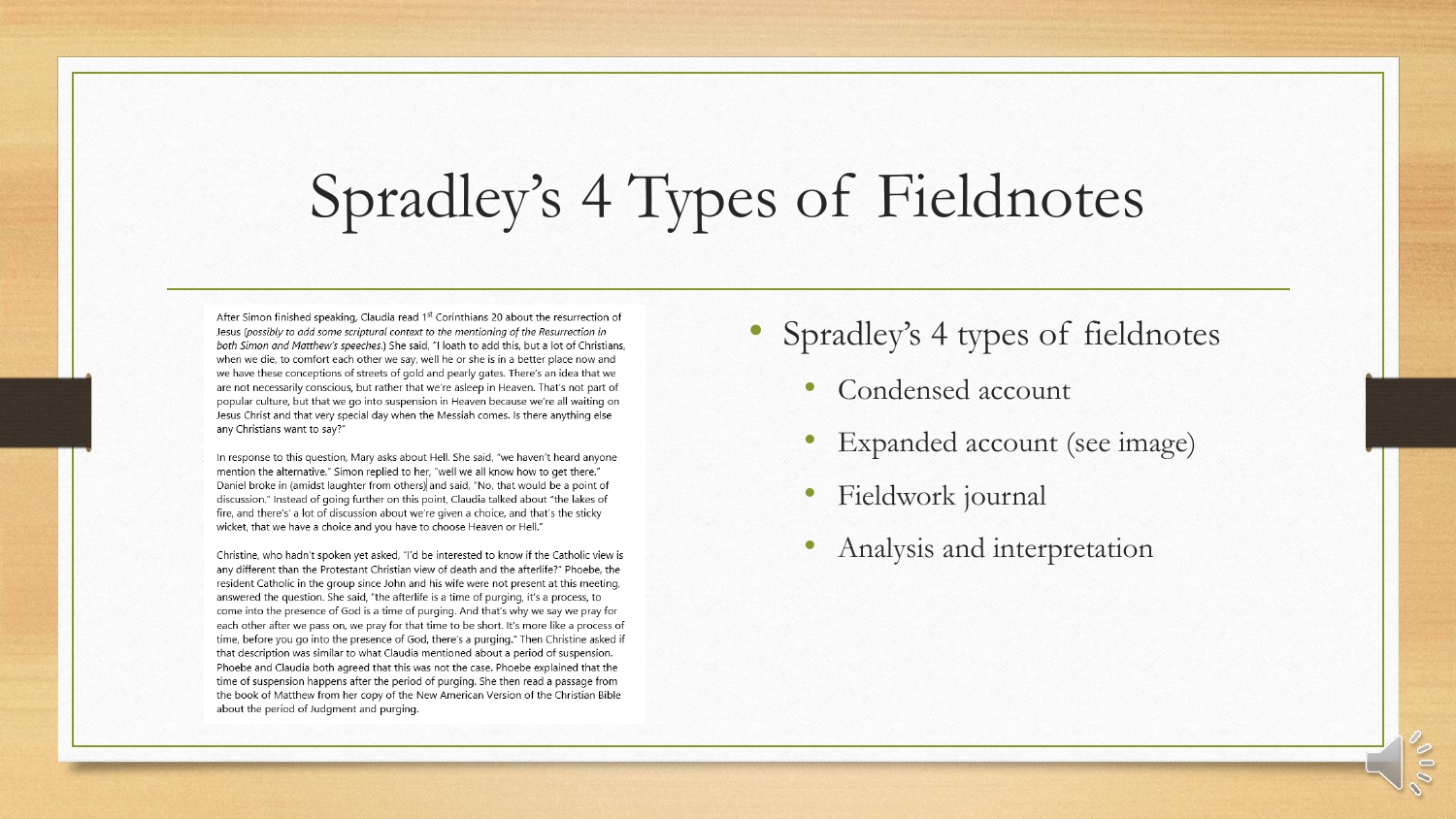## Spradley's 4 Types of Fieldnotes

After Simon finished speaking, Claudia read 1<sup>st</sup> Corinthians 20 about the resurrection of Jesus (possibly to add some scriptural context to the mentioning of the Resurrection in both Simon and Matthew's speeches.) She said, "I loath to add this, but a lot of Christians, when we die, to comfort each other we say, well he or she is in a better place now and we have these conceptions of streets of gold and pearly gates. There's an idea that we are not necessarily conscious, but rather that we're asleep in Heaven. That's not part of popular culture, but that we go into suspension in Heaven because we're all waiting on Jesus Christ and that very special day when the Messiah comes. Is there anything else any Christians want to say?"

In response to this question, Mary asks about Hell. She said, "we haven't heard anyone mention the alternative." Simon replied to her, "well we all know how to get there." Daniel broke in (amidst laughter from others) and said. "No, that would be a point of discussion." Instead of going further on this point, Claudia talked about "the lakes of fire, and there's' a lot of discussion about we're given a choice, and that's the sticky wicket, that we have a choice and you have to choose Heaven or Hell."

Christine, who hadn't spoken yet asked, "I'd be interested to know if the Catholic view is any different than the Protestant Christian view of death and the afterlife?" Phoebe, the resident Catholic in the group since John and his wife were not present at this meeting, answered the question. She said, "the afterlife is a time of purging, it's a process, to come into the presence of God is a time of purging. And that's why we say we pray for each other after we pass on, we pray for that time to be short. It's more like a process of time, before you go into the presence of God, there's a purging." Then Christine asked if that description was similar to what Claudia mentioned about a period of suspension. Phoebe and Claudia both agreed that this was not the case. Phoebe explained that the time of suspension happens after the period of purging. She then read a passage from the book of Matthew from her copy of the New American Version of the Christian Bible about the period of Judgment and purging.

- Spradley's 4 types of fieldnotes
	- Condensed account
	- Expanded account (see image)
	- Fieldwork journal
	- Analysis and interpretation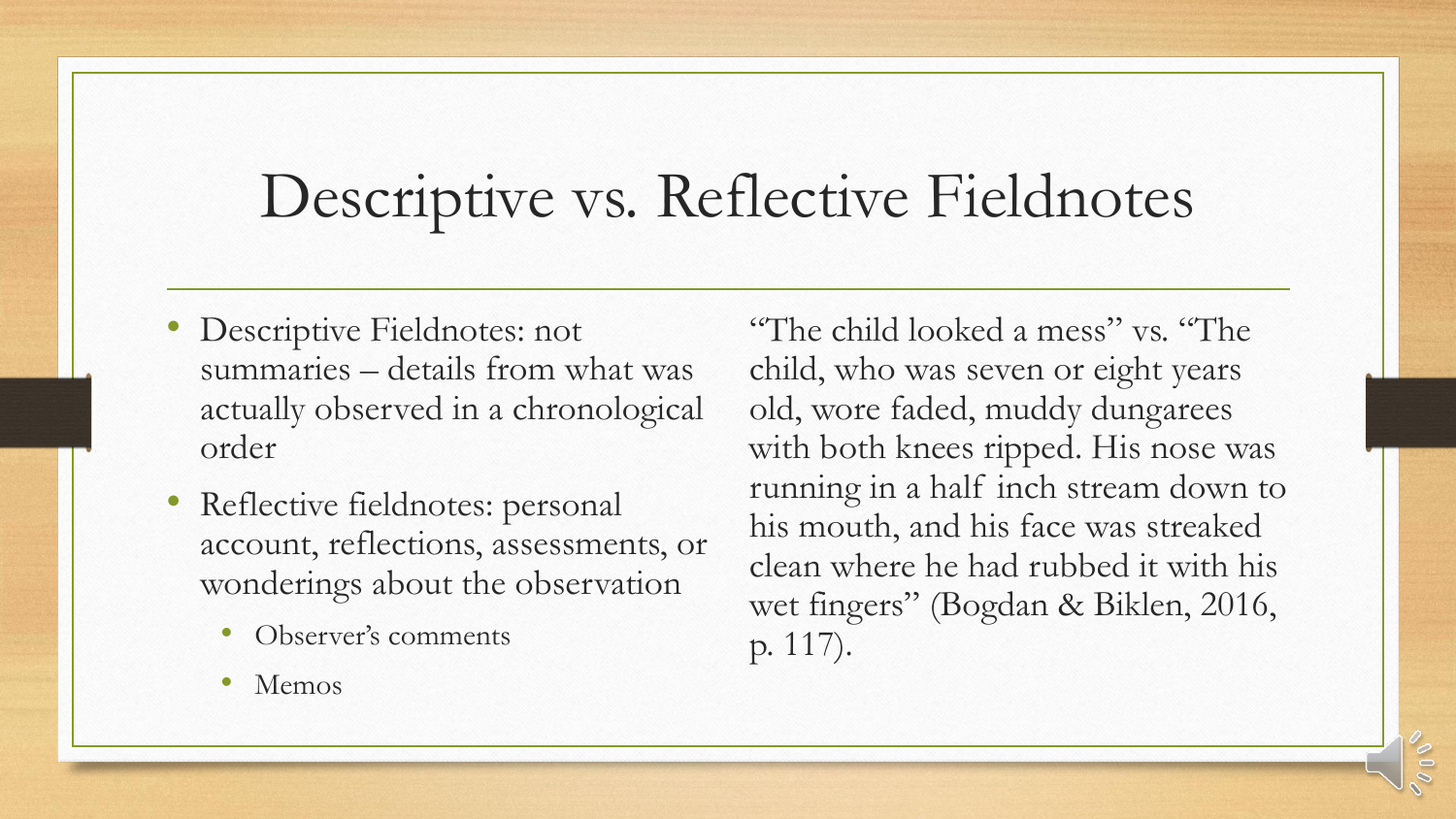## Descriptive vs. Reflective Fieldnotes

- Descriptive Fieldnotes: not summaries – details from what was actually observed in a chronological order
- Reflective fieldnotes: personal account, reflections, assessments, or wonderings about the observation
	- Observer's comments
	- Memos

"The child looked a mess" vs. "The child, who was seven or eight years old, wore faded, muddy dungarees with both knees ripped. His nose was running in a half inch stream down to his mouth, and his face was streaked clean where he had rubbed it with his wet fingers" (Bogdan & Biklen, 2016, p. 117).